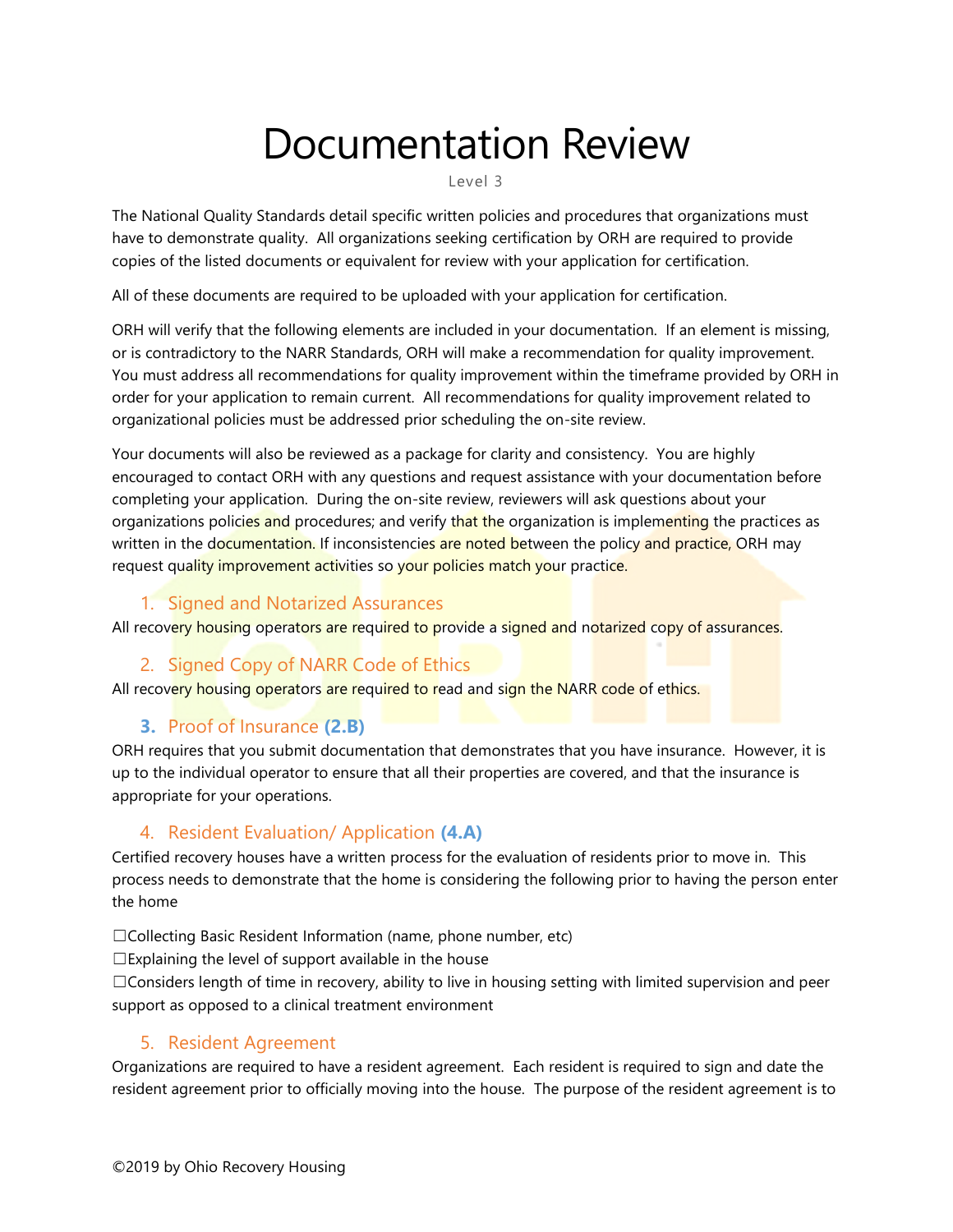# Documentation Review

Level 3

The National Quality Standards detail specific written policies and procedures that organizations must have to demonstrate quality. All organizations seeking certification by ORH are required to provide copies of the listed documents or equivalent for review with your application for certification.

All of these documents are required to be uploaded with your application for certification.

ORH will verify that the following elements are included in your documentation. If an element is missing, or is contradictory to the NARR Standards, ORH will make a recommendation for quality improvement. You must address all recommendations for quality improvement within the timeframe provided by ORH in order for your application to remain current. All recommendations for quality improvement related to organizational policies must be addressed prior scheduling the on-site review.

Your documents will also be reviewed as a package for clarity and consistency. You are highly encouraged to contact ORH with any questions and request assistance with your documentation before completing your application. During the on-site review, reviewers will ask questions about your organizations policies and procedures; and verify that the organization is implementing the practices as written in the documentation. If inconsistencies are noted between the policy and practice, ORH may request quality improvement activities so your policies match your practice.

# 1. Signed and Notarized Assurances

All recovery housing operators are required to provide a signed and notarized copy of assurances.

# 2. Signed Copy of NARR Code of Ethics

All recovery housing operators are required to read and sign the NARR code of ethics.

# **3.** Proof of Insurance **(2.B)**

ORH requires that you submit documentation that demonstrates that you have insurance. However, it is up to the individual operator to ensure that all their properties are covered, and that the insurance is appropriate for your operations.

# 4. Resident Evaluation/ Application **(4.A)**

Certified recovery houses have a written process for the evaluation of residents prior to move in. This process needs to demonstrate that the home is considering the following prior to having the person enter the home

☐Collecting Basic Resident Information (name, phone number, etc)

 $\square$ Explaining the level of support available in the house

☐Considers length of time in recovery, ability to live in housing setting with limited supervision and peer support as opposed to a clinical treatment environment

# 5. Resident Agreement

Organizations are required to have a resident agreement. Each resident is required to sign and date the resident agreement prior to officially moving into the house. The purpose of the resident agreement is to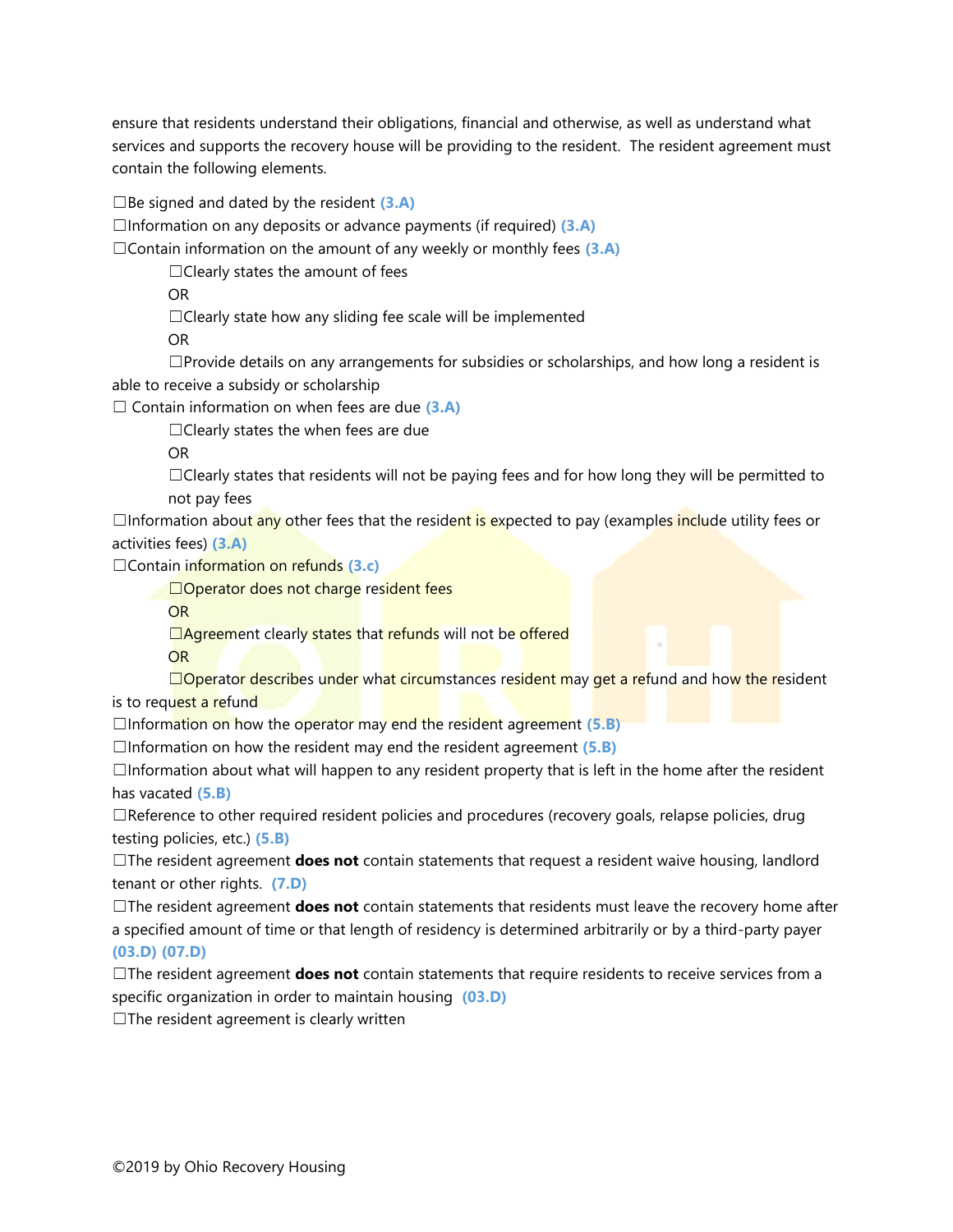ensure that residents understand their obligations, financial and otherwise, as well as understand what services and supports the recovery house will be providing to the resident. The resident agreement must contain the following elements.

☐Be signed and dated by the resident **(3.A)**

☐Information on any deposits or advance payments (if required) **(3.A)**

☐Contain information on the amount of any weekly or monthly fees **(3.A)**

 $\Box$ Clearly states the amount of fees

OR

□Clearly state how any sliding fee scale will be implemented

OR

 $\square$ Provide details on any arrangements for subsidies or scholarships, and how long a resident is able to receive a subsidy or scholarship

☐ Contain information on when fees are due **(3.A)**

 $\Box$ Clearly states the when fees are due

OR

☐Clearly states that residents will not be paying fees and for how long they will be permitted to not pay fees

□Information about any other fees that the resident is expected to pay (examples include utility fees or activities fees) **(3.A)**

☐Contain information on refunds **(3.c)**

□Operator does not charge resident fees

OR

□Agreement clearly states that refunds will not be offered

OR

□Operator describes under what circumstances resident may get a refund and how the resident is to request a refund

☐Information on how the operator may end the resident agreement **(5.B)**

☐Information on how the resident may end the resident agreement **(5.B)**

 $\Box$ Information about what will happen to any resident property that is left in the home after the resident has vacated **(5.B)**

☐Reference to other required resident policies and procedures (recovery goals, relapse policies, drug testing policies, etc.) **(5.B)**

☐The resident agreement **does not** contain statements that request a resident waive housing, landlord tenant or other rights. **(7.D)**

☐The resident agreement **does not** contain statements that residents must leave the recovery home after a specified amount of time or that length of residency is determined arbitrarily or by a third-party payer **(03.D) (07.D)**

☐The resident agreement **does not** contain statements that require residents to receive services from a specific organization in order to maintain housing **(03.D)**

 $\Box$ The resident agreement is clearly written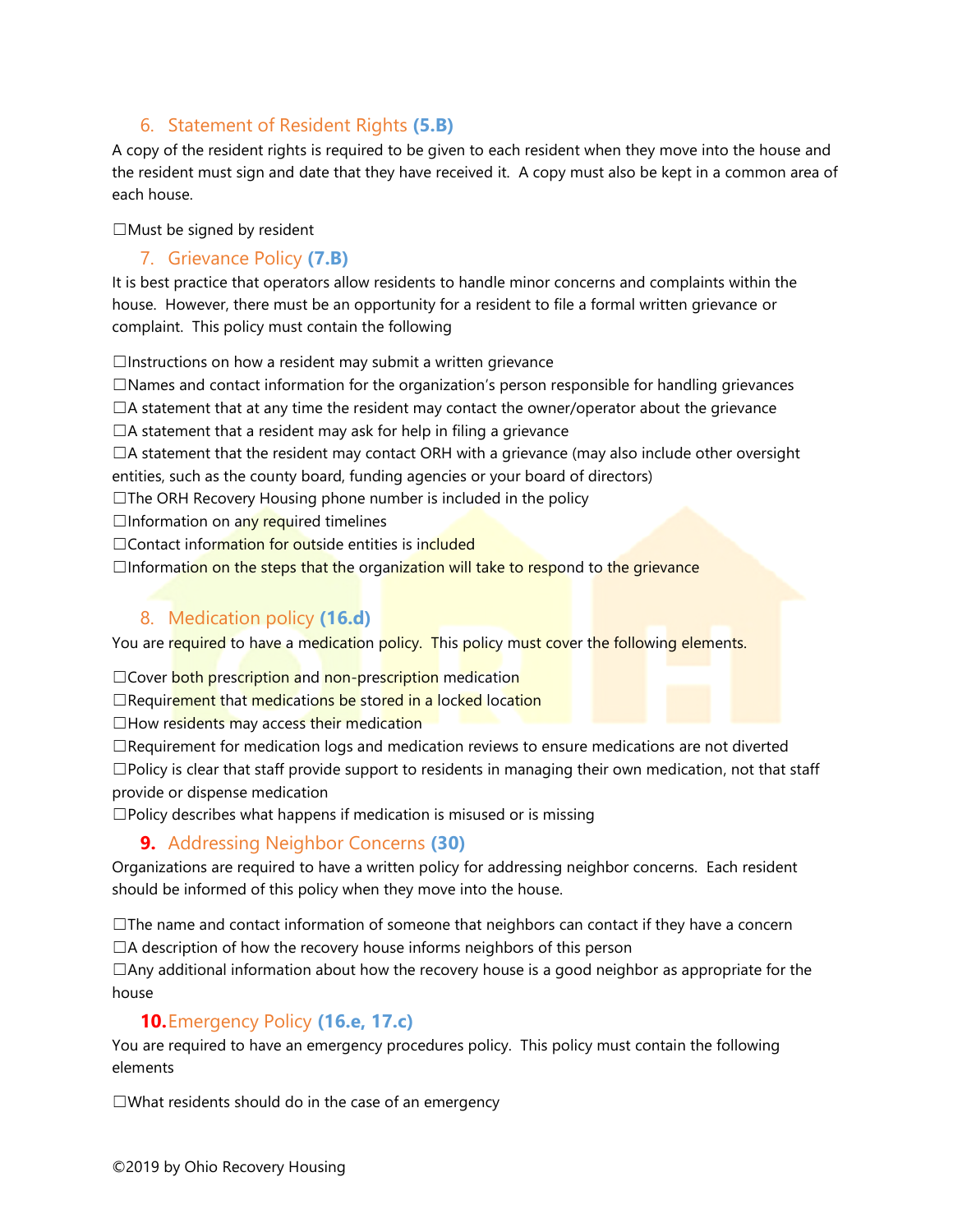## 6. Statement of Resident Rights **(5.B)**

A copy of the resident rights is required to be given to each resident when they move into the house and the resident must sign and date that they have received it. A copy must also be kept in a common area of each house.

☐Must be signed by resident

#### 7. Grievance Policy **(7.B)**

It is best practice that operators allow residents to handle minor concerns and complaints within the house. However, there must be an opportunity for a resident to file a formal written grievance or complaint. This policy must contain the following

 $\Box$ Instructions on how a resident may submit a written grievance

☐Names and contact information for the organization's person responsible for handling grievances  $\Box$ A statement that at any time the resident may contact the owner/operator about the grievance

 $\Box$ A statement that a resident may ask for help in filing a grievance

 $\Box$ A statement that the resident may contact ORH with a grievance (may also include other oversight entities, such as the county board, funding agencies or your board of directors)

☐The ORH Recovery Housing phone number is included in the policy

 $\Box$ Information on any required timelines

□Contact information for outside entities is included

 $\Box$ Information on the steps that the organization will take to respond to the grievance

# 8. Medication policy **(16.d)**

You are required to have a medication policy. This policy must cover the following elements.

□Cover both prescription and non-prescription medication

 $\Box$ Requirement that medications be stored in a locked location

 $\Box$ How residents may access their medication

☐Requirement for medication logs and medication reviews to ensure medications are not diverted ☐Policy is clear that staff provide support to residents in managing their own medication, not that staff provide or dispense medication

 $\square$ Policy describes what happens if medication is misused or is missing

# **9.** Addressing Neighbor Concerns **(30)**

Organizations are required to have a written policy for addressing neighbor concerns. Each resident should be informed of this policy when they move into the house.

☐The name and contact information of someone that neighbors can contact if they have a concern  $\Box$ A description of how the recovery house informs neighbors of this person

 $\Box$ Any additional information about how the recovery house is a good neighbor as appropriate for the house

#### **10.**Emergency Policy **(16.e, 17.c)**

You are required to have an emergency procedures policy. This policy must contain the following elements

☐What residents should do in the case of an emergency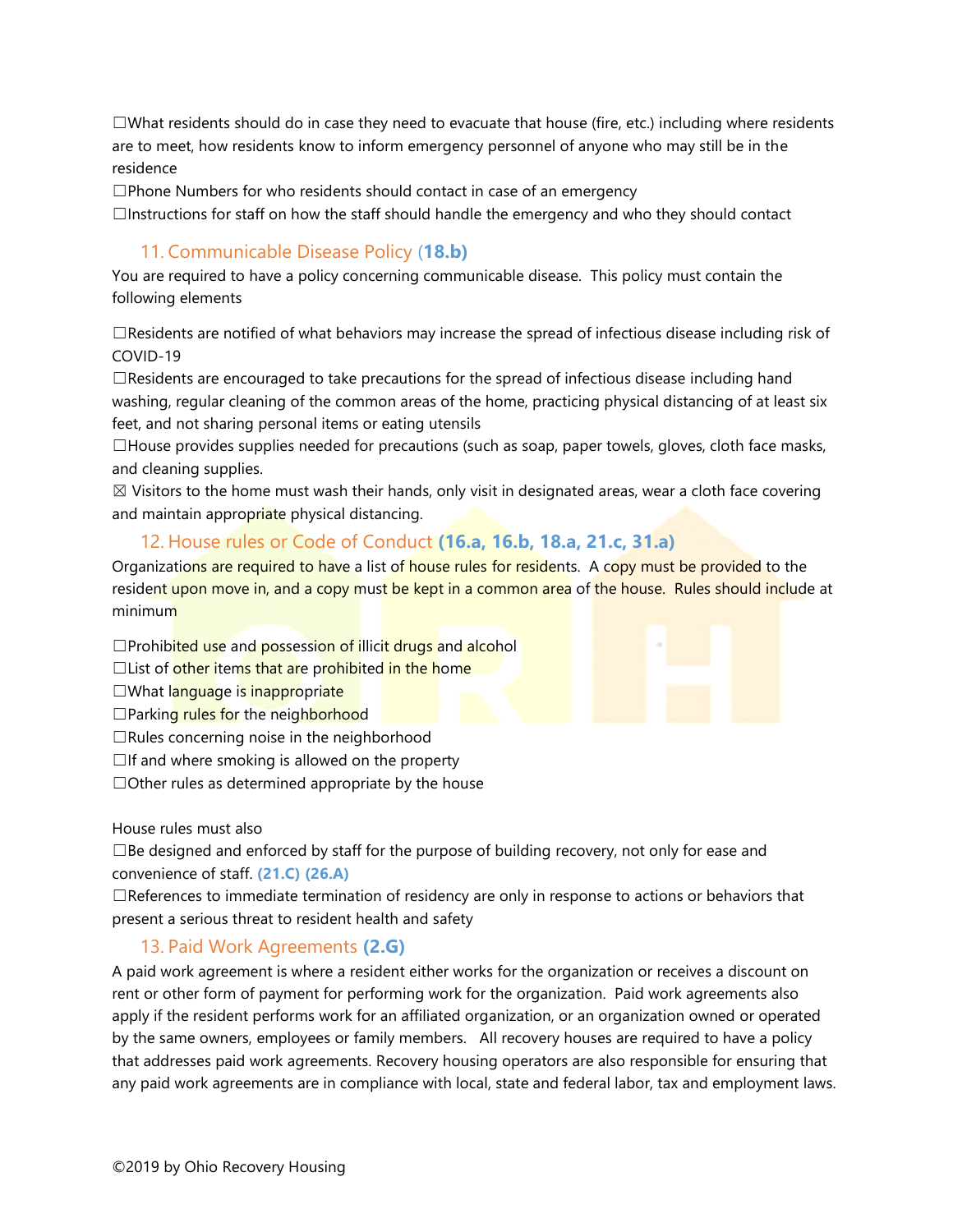$\square$ What residents should do in case they need to evacuate that house (fire, etc.) including where residents are to meet, how residents know to inform emergency personnel of anyone who may still be in the residence

☐Phone Numbers for who residents should contact in case of an emergency

☐Instructions for staff on how the staff should handle the emergency and who they should contact

#### 11. Communicable Disease Policy (**18.b)**

You are required to have a policy concerning communicable disease. This policy must contain the following elements

☐Residents are notified of what behaviors may increase the spread of infectious disease including risk of COVID-19

 $\Box$ Residents are encouraged to take precautions for the spread of infectious disease including hand washing, regular cleaning of the common areas of the home, practicing physical distancing of at least six feet, and not sharing personal items or eating utensils

 $\Box$ House provides supplies needed for precautions (such as soap, paper towels, gloves, cloth face masks, and cleaning supplies.

 $\boxtimes$  Visitors to the home must wash their hands, only visit in designated areas, wear a cloth face covering and maintain appropriate physical distancing.

#### 12. House rules or Code of Conduct **(16.a, 16.b, 18.a, 21.c, 31.a)**

Organizations are required to have a list of house rules for residents. A copy must be provided to the resident upon move in, and a copy must be kept in a common area of the house. Rules should include at minimum

 $\Box$ Prohibited use and possession of illicit drugs and alcohol

 $\Box$ List of other items that are prohibited in the home

□What language is inappropriate

 $\Box$ Parking rules for the neighborhood

 $\Box$ Rules concerning noise in the neighborhood

 $\Box$ If and where smoking is allowed on the property

 $\Box$ Other rules as determined appropriate by the house

House rules must also

 $\Box$ Be designed and enforced by staff for the purpose of building recovery, not only for ease and convenience of staff. **(21.C) (26.A)**

☐References to immediate termination of residency are only in response to actions or behaviors that present a serious threat to resident health and safety

#### 13. Paid Work Agreements **(2.G)**

A paid work agreement is where a resident either works for the organization or receives a discount on rent or other form of payment for performing work for the organization. Paid work agreements also apply if the resident performs work for an affiliated organization, or an organization owned or operated by the same owners, employees or family members. All recovery houses are required to have a policy that addresses paid work agreements. Recovery housing operators are also responsible for ensuring that any paid work agreements are in compliance with local, state and federal labor, tax and employment laws.

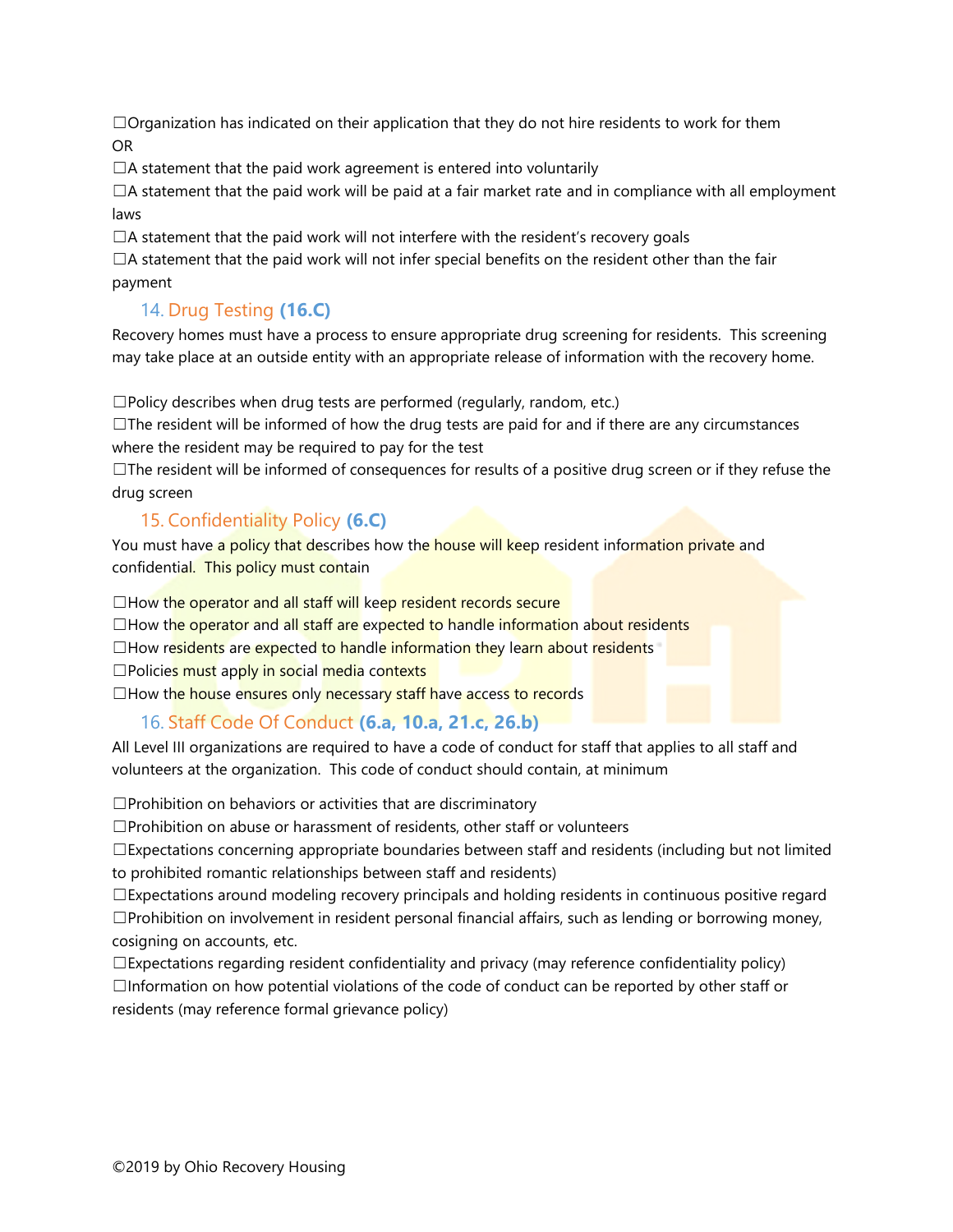$\Box$ Organization has indicated on their application that they do not hire residents to work for them OR

 $\Box$ A statement that the paid work agreement is entered into voluntarily

 $\Box$ A statement that the paid work will be paid at a fair market rate and in compliance with all employment laws

 $\Box$ A statement that the paid work will not interfere with the resident's recovery goals

 $\Box$ A statement that the paid work will not infer special benefits on the resident other than the fair payment

# 14. Drug Testing **(16.C)**

Recovery homes must have a process to ensure appropriate drug screening for residents. This screening may take place at an outside entity with an appropriate release of information with the recovery home.

☐Policy describes when drug tests are performed (regularly, random, etc.)

 $\Box$ The resident will be informed of how the drug tests are paid for and if there are any circumstances where the resident may be required to pay for the test

 $\Box$ The resident will be informed of consequences for results of a positive drug screen or if they refuse the drug screen

# 15. Confidentiality Policy **(6.C)**

You must have a policy that describes how the house will keep resident information private and confidential. This policy must contain

 $\Box$  How the operator and all staff will keep resident records secure

 $\Box$ How the operator and all staff are expected to handle information about residents

 $\Box$ How residents are expected to handle information they learn about residents

□Policies must apply in social media contexts

 $\Box$  How the house ensures only necessary staff have access to records

#### 16. Staff Code Of Conduct **(6.a, 10.a, 21.c, 26.b)**

All Level III organizations are required to have a code of conduct for staff that applies to all staff and volunteers at the organization. This code of conduct should contain, at minimum

 $\square$ Prohibition on behaviors or activities that are discriminatory

☐Prohibition on abuse or harassment of residents, other staff or volunteers

 $\square$ Expectations concerning appropriate boundaries between staff and residents (including but not limited to prohibited romantic relationships between staff and residents)

 $\Box$ Expectations around modeling recovery principals and holding residents in continuous positive regard  $\square$ Prohibition on involvement in resident personal financial affairs, such as lending or borrowing money, cosigning on accounts, etc.

 $\square$ Expectations regarding resident confidentiality and privacy (may reference confidentiality policy)  $\Box$ Information on how potential violations of the code of conduct can be reported by other staff or residents (may reference formal grievance policy)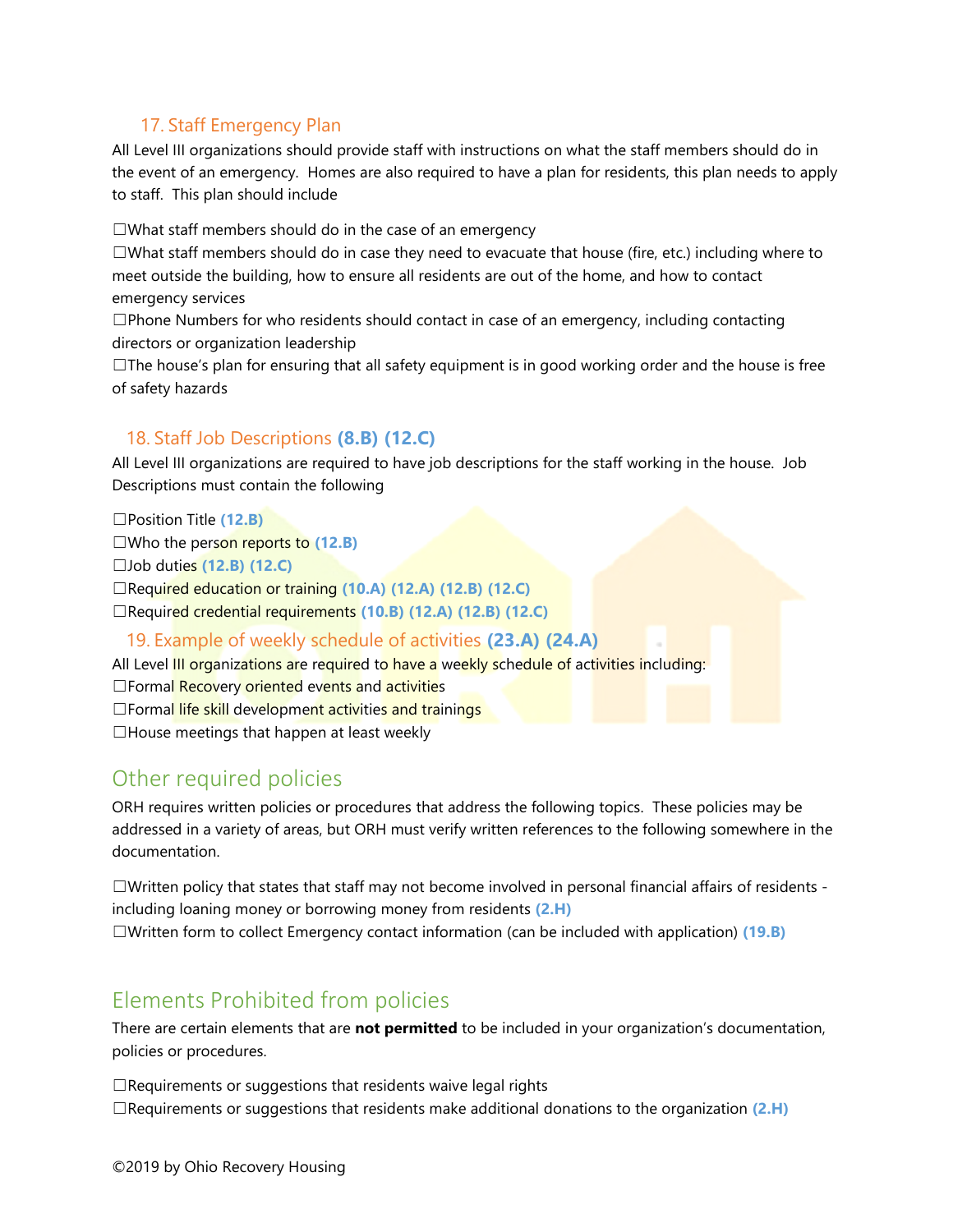## 17. Staff Emergency Plan

All Level III organizations should provide staff with instructions on what the staff members should do in the event of an emergency. Homes are also required to have a plan for residents, this plan needs to apply to staff. This plan should include

☐What staff members should do in the case of an emergency

 $\Box$ What staff members should do in case they need to evacuate that house (fire, etc.) including where to meet outside the building, how to ensure all residents are out of the home, and how to contact emergency services

 $\square$ Phone Numbers for who residents should contact in case of an emergency, including contacting directors or organization leadership

 $\Box$ The house's plan for ensuring that all safety equipment is in good working order and the house is free of safety hazards

#### 18. Staff Job Descriptions **(8.B) (12.C)**

All Level III organizations are required to have job descriptions for the staff working in the house. Job Descriptions must contain the following

☐Position Title **(12.B)** ☐Who the person reports to **(12.B)** ☐Job duties **(12.B) (12.C)** ☐Required education or training **(10.A) (12.A) (12.B) (12.C)** ☐Required credential requirements **(10.B) (12.A) (12.B) (12.C)**

#### 19. Example of weekly schedule of activities **(23.A) (24.A)**

All Level III organizations are required to have a weekly schedule of activities including: □Formal Recovery oriented events and activities □Formal life skill development activities and trainings ☐House meetings that happen at least weekly

# Other required policies

ORH requires written policies or procedures that address the following topics. These policies may be addressed in a variety of areas, but ORH must verify written references to the following somewhere in the documentation.

☐Written policy that states that staff may not become involved in personal financial affairs of residents including loaning money or borrowing money from residents **(2.H)** ☐Written form to collect Emergency contact information (can be included with application) **(19.B)**

# Elements Prohibited from policies

There are certain elements that are **not permitted** to be included in your organization's documentation, policies or procedures.

☐Requirements or suggestions that residents waive legal rights ☐Requirements or suggestions that residents make additional donations to the organization **(2.H)**